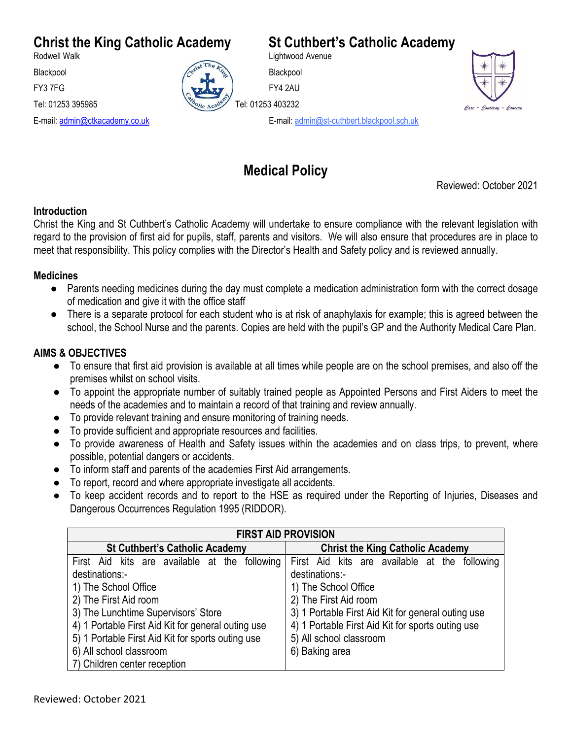# **Christ the King Catholic Academy St Cuthbert's Catholic Academy**<br>Rodwell Walk



Lightwood Avenue





E-mail: [admin@ctkacademy.co.uk](mailto:admin@ctkacademy.co.uk) E-mail: admin@st-cuthbert.blackpool.sch.uk

## **Medical Policy**

Reviewed: October 2021

#### **Introduction**

Christ the King and St Cuthbert's Catholic Academy will undertake to ensure compliance with the relevant legislation with regard to the provision of first aid for pupils, staff, parents and visitors. We will also ensure that procedures are in place to meet that responsibility. This policy complies with the Director's Health and Safety policy and is reviewed annually.

#### **Medicines**

- Parents needing medicines during the day must complete a medication administration form with the correct dosage of medication and give it with the office staff
- There is a separate protocol for each student who is at risk of anaphylaxis for example; this is agreed between the school, the School Nurse and the parents. Copies are held with the pupil's GP and the Authority Medical Care Plan.

#### **AIMS & OBJECTIVES**

- To ensure that first aid provision is available at all times while people are on the school premises, and also off the premises whilst on school visits.
- To appoint the appropriate number of suitably trained people as Appointed Persons and First Aiders to meet the needs of the academies and to maintain a record of that training and review annually.
- To provide relevant training and ensure monitoring of training needs.
- To provide sufficient and appropriate resources and facilities.
- To provide awareness of Health and Safety issues within the academies and on class trips, to prevent, where possible, potential dangers or accidents.
- To inform staff and parents of the academies First Aid arrangements.
- To report, record and where appropriate investigate all accidents.
- To keep accident records and to report to the HSE as required under the Reporting of Injuries, Diseases and Dangerous Occurrences Regulation 1995 (RIDDOR).

| <b>FIRST AID PROVISION</b>                         |                                                    |
|----------------------------------------------------|----------------------------------------------------|
| <b>St Cuthbert's Catholic Academy</b>              | <b>Christ the King Catholic Academy</b>            |
| First Aid kits are available at the following      | First Aid kits are available at the following      |
| destinations:-                                     | destinations:-                                     |
| 1) The School Office                               | 1) The School Office                               |
| 2) The First Aid room                              | 2) The First Aid room                              |
| 3) The Lunchtime Supervisors' Store                | 3) 1 Portable First Aid Kit for general outing use |
| 4) 1 Portable First Aid Kit for general outing use | 4) 1 Portable First Aid Kit for sports outing use  |
| 5) 1 Portable First Aid Kit for sports outing use  | 5) All school classroom                            |
| 6) All school classroom                            | 6) Baking area                                     |
| 7) Children center reception                       |                                                    |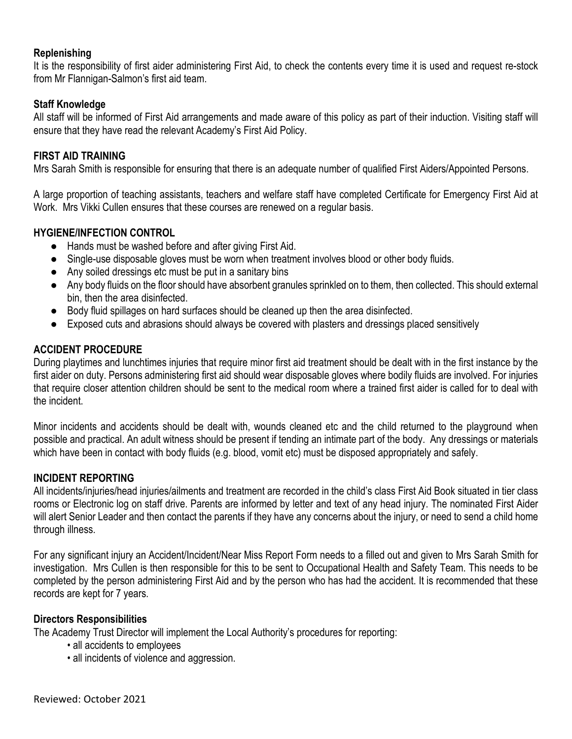#### **Replenishing**

It is the responsibility of first aider administering First Aid, to check the contents every time it is used and request re-stock from Mr Flannigan-Salmon's first aid team.

#### **Staff Knowledge**

All staff will be informed of First Aid arrangements and made aware of this policy as part of their induction. Visiting staff will ensure that they have read the relevant Academy's First Aid Policy.

#### **FIRST AID TRAINING**

Mrs Sarah Smith is responsible for ensuring that there is an adequate number of qualified First Aiders/Appointed Persons.

A large proportion of teaching assistants, teachers and welfare staff have completed Certificate for Emergency First Aid at Work. Mrs Vikki Cullen ensures that these courses are renewed on a regular basis.

#### **HYGIENE/INFECTION CONTROL**

- Hands must be washed before and after giving First Aid.
- Single-use disposable gloves must be worn when treatment involves blood or other body fluids.
- Any soiled dressings etc must be put in a sanitary bins
- Any body fluids on the floor should have absorbent granules sprinkled on to them, then collected. This should external bin, then the area disinfected.
- Body fluid spillages on hard surfaces should be cleaned up then the area disinfected.
- Exposed cuts and abrasions should always be covered with plasters and dressings placed sensitively

#### **ACCIDENT PROCEDURE**

During playtimes and lunchtimes injuries that require minor first aid treatment should be dealt with in the first instance by the first aider on duty. Persons administering first aid should wear disposable gloves where bodily fluids are involved. For injuries that require closer attention children should be sent to the medical room where a trained first aider is called for to deal with the incident.

Minor incidents and accidents should be dealt with, wounds cleaned etc and the child returned to the playground when possible and practical. An adult witness should be present if tending an intimate part of the body. Any dressings or materials which have been in contact with body fluids (e.g. blood, vomit etc) must be disposed appropriately and safely.

#### **INCIDENT REPORTING**

All incidents/injuries/head injuries/ailments and treatment are recorded in the child's class First Aid Book situated in tier class rooms or Electronic log on staff drive. Parents are informed by letter and text of any head injury. The nominated First Aider will alert Senior Leader and then contact the parents if they have any concerns about the injury, or need to send a child home through illness.

For any significant injury an Accident/Incident/Near Miss Report Form needs to a filled out and given to Mrs Sarah Smith for investigation. Mrs Cullen is then responsible for this to be sent to Occupational Health and Safety Team. This needs to be completed by the person administering First Aid and by the person who has had the accident. It is recommended that these records are kept for 7 years.

#### **Directors Responsibilities**

The Academy Trust Director will implement the Local Authority's procedures for reporting:

- all accidents to employees
- all incidents of violence and aggression.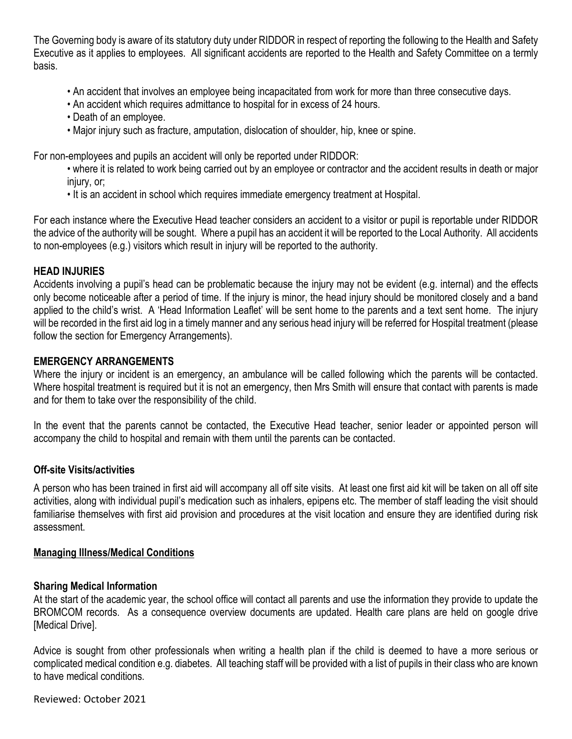The Governing body is aware of its statutory duty under RIDDOR in respect of reporting the following to the Health and Safety Executive as it applies to employees. All significant accidents are reported to the Health and Safety Committee on a termly basis.

- An accident that involves an employee being incapacitated from work for more than three consecutive days.
- An accident which requires admittance to hospital for in excess of 24 hours.
- Death of an employee.
- Major injury such as fracture, amputation, dislocation of shoulder, hip, knee or spine.

For non-employees and pupils an accident will only be reported under RIDDOR:

- where it is related to work being carried out by an employee or contractor and the accident results in death or major injury, or:
- It is an accident in school which requires immediate emergency treatment at Hospital.

For each instance where the Executive Head teacher considers an accident to a visitor or pupil is reportable under RIDDOR the advice of the authority will be sought. Where a pupil has an accident it will be reported to the Local Authority. All accidents to non-employees (e.g.) visitors which result in injury will be reported to the authority.

#### **HEAD INJURIES**

Accidents involving a pupil's head can be problematic because the injury may not be evident (e.g. internal) and the effects only become noticeable after a period of time. If the injury is minor, the head injury should be monitored closely and a band applied to the child's wrist. A 'Head Information Leaflet' will be sent home to the parents and a text sent home. The injury will be recorded in the first aid log in a timely manner and any serious head injury will be referred for Hospital treatment (please follow the section for Emergency Arrangements).

#### **EMERGENCY ARRANGEMENTS**

Where the injury or incident is an emergency, an ambulance will be called following which the parents will be contacted. Where hospital treatment is required but it is not an emergency, then Mrs Smith will ensure that contact with parents is made and for them to take over the responsibility of the child.

In the event that the parents cannot be contacted, the Executive Head teacher, senior leader or appointed person will accompany the child to hospital and remain with them until the parents can be contacted.

#### **Off-site Visits/activities**

A person who has been trained in first aid will accompany all off site visits. At least one first aid kit will be taken on all off site activities, along with individual pupil's medication such as inhalers, epipens etc. The member of staff leading the visit should familiarise themselves with first aid provision and procedures at the visit location and ensure they are identified during risk assessment.

#### **Managing Illness/Medical Conditions**

#### **Sharing Medical Information**

At the start of the academic year, the school office will contact all parents and use the information they provide to update the BROMCOM records. As a consequence overview documents are updated. Health care plans are held on google drive [Medical Drive].

Advice is sought from other professionals when writing a health plan if the child is deemed to have a more serious or complicated medical condition e.g. diabetes. All teaching staff will be provided with a list of pupils in their class who are known to have medical conditions.

Reviewed: October 2021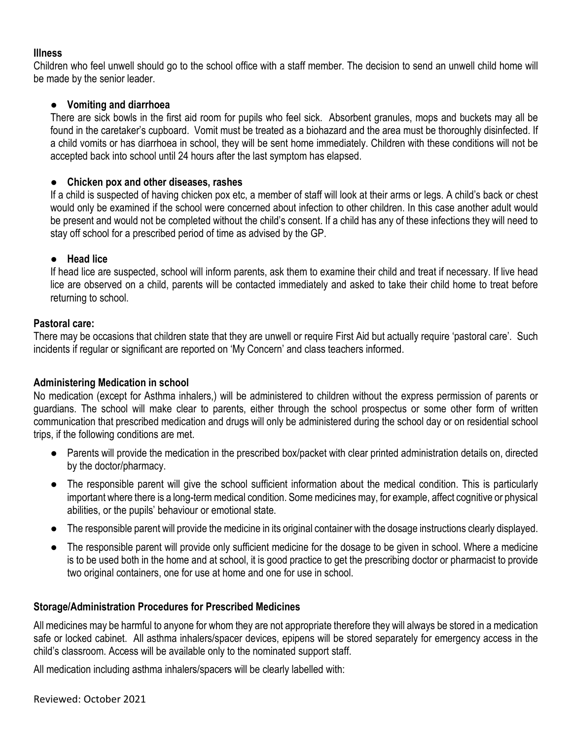#### **Illness**

Children who feel unwell should go to the school office with a staff member. The decision to send an unwell child home will be made by the senior leader.

#### ● **Vomiting and diarrhoea**

There are sick bowls in the first aid room for pupils who feel sick. Absorbent granules, mops and buckets may all be found in the caretaker's cupboard. Vomit must be treated as a biohazard and the area must be thoroughly disinfected. If a child vomits or has diarrhoea in school, they will be sent home immediately. Children with these conditions will not be accepted back into school until 24 hours after the last symptom has elapsed.

#### ● **Chicken pox and other diseases, rashes**

If a child is suspected of having chicken pox etc, a member of staff will look at their arms or legs. A child's back or chest would only be examined if the school were concerned about infection to other children. In this case another adult would be present and would not be completed without the child's consent. If a child has any of these infections they will need to stay off school for a prescribed period of time as advised by the GP.

#### ● **Head lice**

If head lice are suspected, school will inform parents, ask them to examine their child and treat if necessary. If live head lice are observed on a child, parents will be contacted immediately and asked to take their child home to treat before returning to school.

#### **Pastoral care:**

There may be occasions that children state that they are unwell or require First Aid but actually require 'pastoral care'. Such incidents if regular or significant are reported on 'My Concern' and class teachers informed.

#### **Administering Medication in school**

No medication (except for Asthma inhalers,) will be administered to children without the express permission of parents or guardians. The school will make clear to parents, either through the school prospectus or some other form of written communication that prescribed medication and drugs will only be administered during the school day or on residential school trips, if the following conditions are met.

- Parents will provide the medication in the prescribed box/packet with clear printed administration details on, directed by the doctor/pharmacy.
- The responsible parent will give the school sufficient information about the medical condition. This is particularly important where there is a long-term medical condition. Some medicines may, for example, affect cognitive or physical abilities, or the pupils' behaviour or emotional state.
- The responsible parent will provide the medicine in its original container with the dosage instructions clearly displayed.
- The responsible parent will provide only sufficient medicine for the dosage to be given in school. Where a medicine is to be used both in the home and at school, it is good practice to get the prescribing doctor or pharmacist to provide two original containers, one for use at home and one for use in school.

#### **Storage/Administration Procedures for Prescribed Medicines**

All medicines may be harmful to anyone for whom they are not appropriate therefore they will always be stored in a medication safe or locked cabinet. All asthma inhalers/spacer devices, epipens will be stored separately for emergency access in the child's classroom. Access will be available only to the nominated support staff.

All medication including asthma inhalers/spacers will be clearly labelled with: